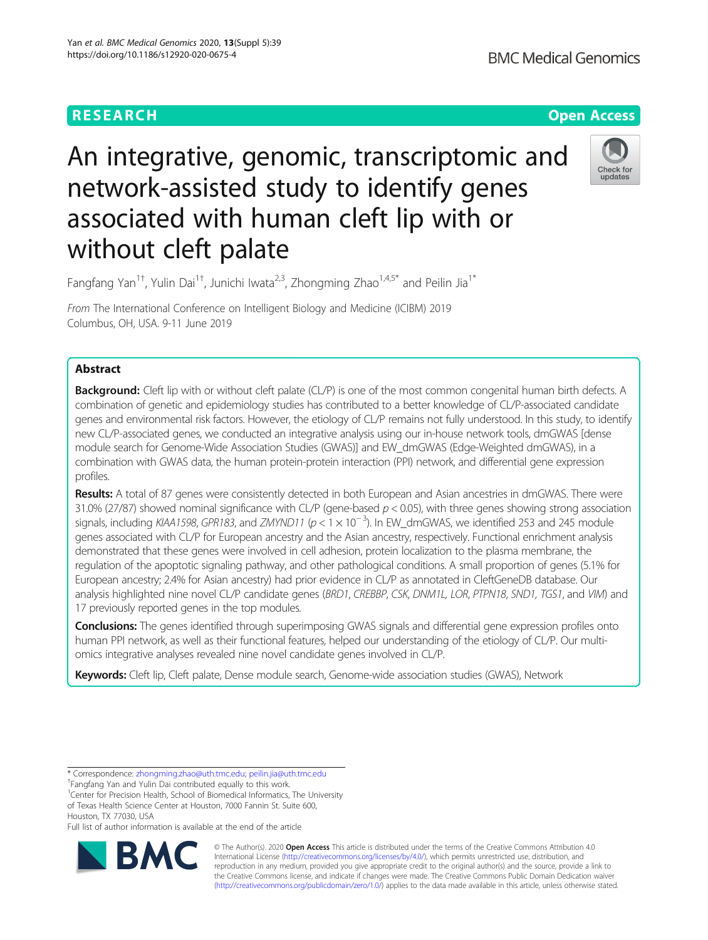## **RESEARCH CHE Open Access**

# An integrative, genomic, transcriptomic and network-assisted study to identify genes associated with human cleft lip with or without cleft palate



Fangfang Yan<sup>1†</sup>, Yulin Dai<sup>1†</sup>, Junichi Iwata<sup>2,3</sup>, Zhongming Zhao<sup>1,4,5\*</sup> and Peilin Jia<sup>1\*</sup>

From The International Conference on Intelligent Biology and Medicine (ICIBM) 2019 Columbus, OH, USA. 9-11 June 2019

## Abstract

**Background:** Cleft lip with or without cleft palate (CL/P) is one of the most common congenital human birth defects. A combination of genetic and epidemiology studies has contributed to a better knowledge of CL/P-associated candidate genes and environmental risk factors. However, the etiology of CL/P remains not fully understood. In this study, to identify new CL/P-associated genes, we conducted an integrative analysis using our in-house network tools, dmGWAS [dense module search for Genome-Wide Association Studies (GWAS)] and EW\_dmGWAS (Edge-Weighted dmGWAS), in a combination with GWAS data, the human protein-protein interaction (PPI) network, and differential gene expression profiles.

Results: A total of 87 genes were consistently detected in both European and Asian ancestries in dmGWAS. There were 31.0% (27/87) showed nominal significance with CL/P (gene-based  $p < 0.05$ ), with three genes showing strong association signals, including KIAA1598, GPR183, and ZMYND11 ( $p < 1 \times 10^{-3}$ ). In EW\_dmGWAS, we identified 253 and 245 module genes associated with CL/P for European ancestry and the Asian ancestry, respectively. Functional enrichment analysis demonstrated that these genes were involved in cell adhesion, protein localization to the plasma membrane, the regulation of the apoptotic signaling pathway, and other pathological conditions. A small proportion of genes (5.1% for European ancestry; 2.4% for Asian ancestry) had prior evidence in CL/P as annotated in CleftGeneDB database. Our analysis highlighted nine novel CL/P candidate genes (BRD1, CREBBP, CSK, DNM1L, LOR, PTPN18, SND1, TGS1, and VIM) and 17 previously reported genes in the top modules.

**Conclusions:** The genes identified through superimposing GWAS signals and differential gene expression profiles onto human PPI network, as well as their functional features, helped our understanding of the etiology of CL/P. Our multiomics integrative analyses revealed nine novel candidate genes involved in CL/P.

Keywords: Cleft lip, Cleft palate, Dense module search, Genome-wide association studies (GWAS), Network

Fangfang Yan and Yulin Dai contributed equally to this work.

<sup>1</sup> Center for Precision Health, School of Biomedical Informatics, The University of Texas Health Science Center at Houston, 7000 Fannin St. Suite 600, Houston, TX 77030, USA

Full list of author information is available at the end of the article



© The Author(s). 2020 **Open Access** This article is distributed under the terms of the Creative Commons Attribution 4.0 International License [\(http://creativecommons.org/licenses/by/4.0/](http://creativecommons.org/licenses/by/4.0/)), which permits unrestricted use, distribution, and reproduction in any medium, provided you give appropriate credit to the original author(s) and the source, provide a link to the Creative Commons license, and indicate if changes were made. The Creative Commons Public Domain Dedication waiver [\(http://creativecommons.org/publicdomain/zero/1.0/](http://creativecommons.org/publicdomain/zero/1.0/)) applies to the data made available in this article, unless otherwise stated.

<sup>\*</sup> Correspondence: [zhongming.zhao@uth.tmc.edu](mailto:zhongming.zhao@uth.tmc.edu); [peilin.jia@uth.tmc.edu](mailto:peilin.jia@uth.tmc.edu) †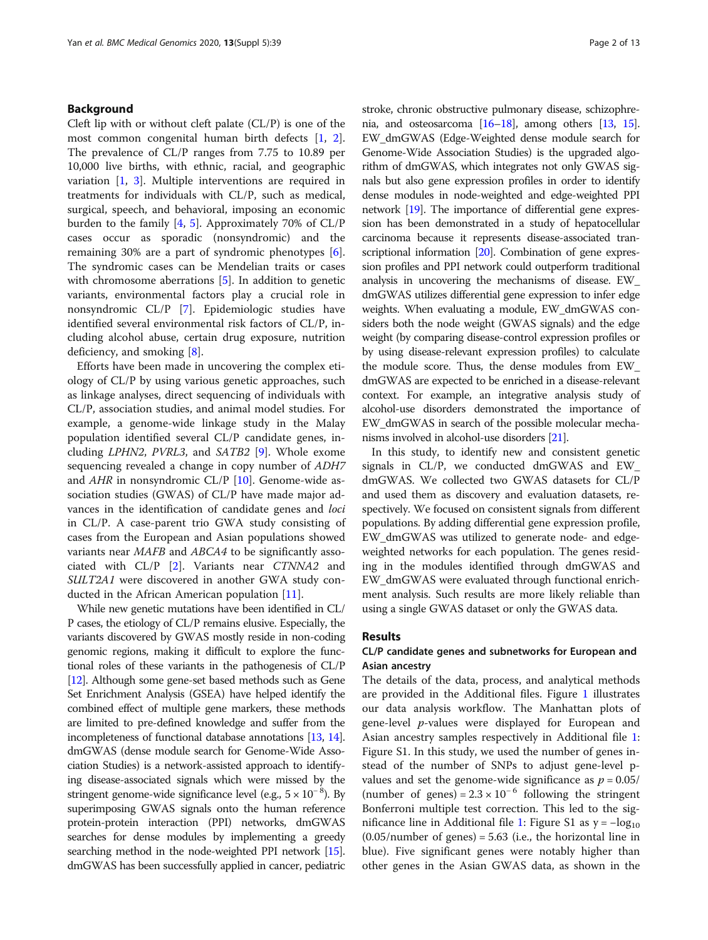#### Background

Cleft lip with or without cleft palate (CL/P) is one of the most common congenital human birth defects [[1,](#page-11-0) [2](#page-11-0)]. The prevalence of CL/P ranges from 7.75 to 10.89 per 10,000 live births, with ethnic, racial, and geographic variation [[1](#page-11-0), [3](#page-11-0)]. Multiple interventions are required in treatments for individuals with CL/P, such as medical, surgical, speech, and behavioral, imposing an economic burden to the family [\[4](#page-11-0), [5\]](#page-11-0). Approximately 70% of CL/P cases occur as sporadic (nonsyndromic) and the remaining 30% are a part of syndromic phenotypes [\[6](#page-11-0)]. The syndromic cases can be Mendelian traits or cases with chromosome aberrations [[5\]](#page-11-0). In addition to genetic variants, environmental factors play a crucial role in nonsyndromic CL/P [\[7\]](#page-11-0). Epidemiologic studies have identified several environmental risk factors of CL/P, including alcohol abuse, certain drug exposure, nutrition deficiency, and smoking [\[8](#page-11-0)].

Efforts have been made in uncovering the complex etiology of CL/P by using various genetic approaches, such as linkage analyses, direct sequencing of individuals with CL/P, association studies, and animal model studies. For example, a genome-wide linkage study in the Malay population identified several CL/P candidate genes, including LPHN2, PVRL3, and SATB2 [[9](#page-11-0)]. Whole exome sequencing revealed a change in copy number of ADH7 and  $AHR$  in nonsyndromic CL/P [[10](#page-11-0)]. Genome-wide association studies (GWAS) of CL/P have made major advances in the identification of candidate genes and loci in CL/P. A case-parent trio GWA study consisting of cases from the European and Asian populations showed variants near MAFB and ABCA4 to be significantly associated with CL/P [\[2](#page-11-0)]. Variants near CTNNA2 and SULT2A1 were discovered in another GWA study conducted in the African American population [\[11](#page-11-0)].

While new genetic mutations have been identified in CL/ P cases, the etiology of CL/P remains elusive. Especially, the variants discovered by GWAS mostly reside in non-coding genomic regions, making it difficult to explore the functional roles of these variants in the pathogenesis of CL/P [[12](#page-12-0)]. Although some gene-set based methods such as Gene Set Enrichment Analysis (GSEA) have helped identify the combined effect of multiple gene markers, these methods are limited to pre-defined knowledge and suffer from the incompleteness of functional database annotations [\[13,](#page-12-0) [14](#page-12-0)]. dmGWAS (dense module search for Genome-Wide Association Studies) is a network-assisted approach to identifying disease-associated signals which were missed by the stringent genome-wide significance level (e.g.,  $5 \times 10^{-8}$ ). By superimposing GWAS signals onto the human reference protein-protein interaction (PPI) networks, dmGWAS searches for dense modules by implementing a greedy searching method in the node-weighted PPI network [\[15](#page-12-0)]. dmGWAS has been successfully applied in cancer, pediatric stroke, chronic obstructive pulmonary disease, schizophrenia, and osteosarcoma [\[16](#page-12-0)–[18\]](#page-12-0), among others [\[13](#page-12-0), [15](#page-12-0)]. EW\_dmGWAS (Edge-Weighted dense module search for Genome-Wide Association Studies) is the upgraded algorithm of dmGWAS, which integrates not only GWAS signals but also gene expression profiles in order to identify dense modules in node-weighted and edge-weighted PPI network [\[19](#page-12-0)]. The importance of differential gene expression has been demonstrated in a study of hepatocellular carcinoma because it represents disease-associated transcriptional information [[20](#page-12-0)]. Combination of gene expression profiles and PPI network could outperform traditional analysis in uncovering the mechanisms of disease. EW\_ dmGWAS utilizes differential gene expression to infer edge weights. When evaluating a module, EW\_dmGWAS considers both the node weight (GWAS signals) and the edge weight (by comparing disease-control expression profiles or by using disease-relevant expression profiles) to calculate the module score. Thus, the dense modules from EW\_ dmGWAS are expected to be enriched in a disease-relevant context. For example, an integrative analysis study of alcohol-use disorders demonstrated the importance of EW\_dmGWAS in search of the possible molecular mechanisms involved in alcohol-use disorders [\[21\]](#page-12-0).

In this study, to identify new and consistent genetic signals in CL/P, we conducted dmGWAS and EW\_ dmGWAS. We collected two GWAS datasets for CL/P and used them as discovery and evaluation datasets, respectively. We focused on consistent signals from different populations. By adding differential gene expression profile, EW\_dmGWAS was utilized to generate node- and edgeweighted networks for each population. The genes residing in the modules identified through dmGWAS and EW\_dmGWAS were evaluated through functional enrichment analysis. Such results are more likely reliable than using a single GWAS dataset or only the GWAS data.

#### Results

#### CL/P candidate genes and subnetworks for European and Asian ancestry

The details of the data, process, and analytical methods are provided in the Additional files. Figure [1](#page-2-0) illustrates our data analysis workflow. The Manhattan plots of gene-level p-values were displayed for European and Asian ancestry samples respectively in Additional file [1](#page-11-0): Figure S1. In this study, we used the number of genes instead of the number of SNPs to adjust gene-level pvalues and set the genome-wide significance as  $p = 0.05/$ (number of genes) =  $2.3 \times 10^{-6}$  following the stringent Bonferroni multiple test correction. This led to the sig-nificance line in Additional file [1](#page-11-0): Figure S1 as  $y = -\log_{10}$  $(0.05/number$  of genes) = 5.63 (i.e., the horizontal line in blue). Five significant genes were notably higher than other genes in the Asian GWAS data, as shown in the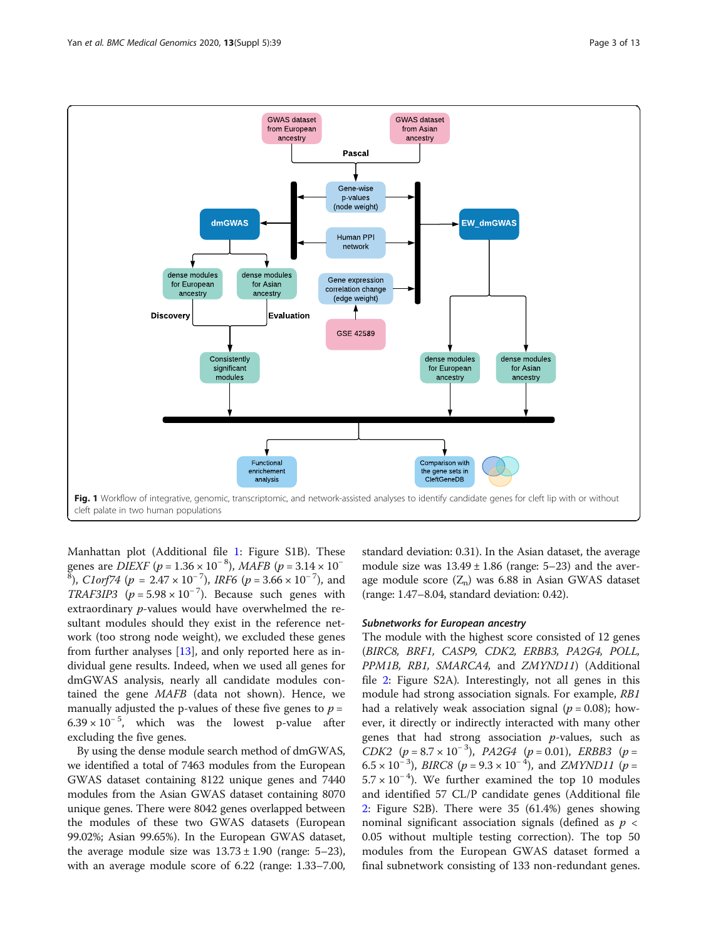<span id="page-2-0"></span>

Manhattan plot (Additional file [1:](#page-11-0) Figure S1B). These genes are *DIEXF* ( $p = 1.36 \times 10^{-8}$ ), *MAFB* ( $p = 3.14 \times 10^{-7}$ <sup>8</sup>), *Clorf74* ( $p = 2.47 \times 10^{-7}$ ), *IRF6* ( $p = 3.66 \times 10^{-7}$ ), and TRAF3IP3  $(p = 5.98 \times 10^{-7})$ . Because such genes with extraordinary p-values would have overwhelmed the resultant modules should they exist in the reference network (too strong node weight), we excluded these genes from further analyses [\[13\]](#page-12-0), and only reported here as individual gene results. Indeed, when we used all genes for dmGWAS analysis, nearly all candidate modules contained the gene MAFB (data not shown). Hence, we manually adjusted the p-values of these five genes to  $p =$  $6.39 \times 10^{-5}$ , which was the lowest p-value after excluding the five genes.

By using the dense module search method of dmGWAS, we identified a total of 7463 modules from the European GWAS dataset containing 8122 unique genes and 7440 modules from the Asian GWAS dataset containing 8070 unique genes. There were 8042 genes overlapped between the modules of these two GWAS datasets (European 99.02%; Asian 99.65%). In the European GWAS dataset, the average module size was  $13.73 \pm 1.90$  (range: 5–23), with an average module score of 6.22 (range: 1.33–7.00, standard deviation: 0.31). In the Asian dataset, the average module size was  $13.49 \pm 1.86$  (range: 5–23) and the average module score  $(Z_n)$  was 6.88 in Asian GWAS dataset (range: 1.47–8.04, standard deviation: 0.42).

#### Subnetworks for European ancestry

The module with the highest score consisted of 12 genes (BIRC8, BRF1, CASP9, CDK2, ERBB3, PA2G4, POLL, PPM1B, RB1, SMARCA4, and ZMYND11) (Additional file [2:](#page-11-0) Figure S2A). Interestingly, not all genes in this module had strong association signals. For example, RB1 had a relatively weak association signal ( $p = 0.08$ ); however, it directly or indirectly interacted with many other genes that had strong association  $p$ -values, such as CDK2  $(p = 8.7 \times 10^{-3})$ , PA2G4  $(p = 0.01)$ , ERBB3  $(p = 0.01)$  $6.5 \times 10^{-3}$ ), *BIRC8* ( $p = 9.3 \times 10^{-4}$ ), and *ZMYND11* ( $p =$  $5.7 \times 10^{-4}$ ). We further examined the top 10 modules and identified 57 CL/P candidate genes (Additional file [2:](#page-11-0) Figure S2B). There were 35 (61.4%) genes showing nominal significant association signals (defined as  $p <$ 0.05 without multiple testing correction). The top 50 modules from the European GWAS dataset formed a final subnetwork consisting of 133 non-redundant genes.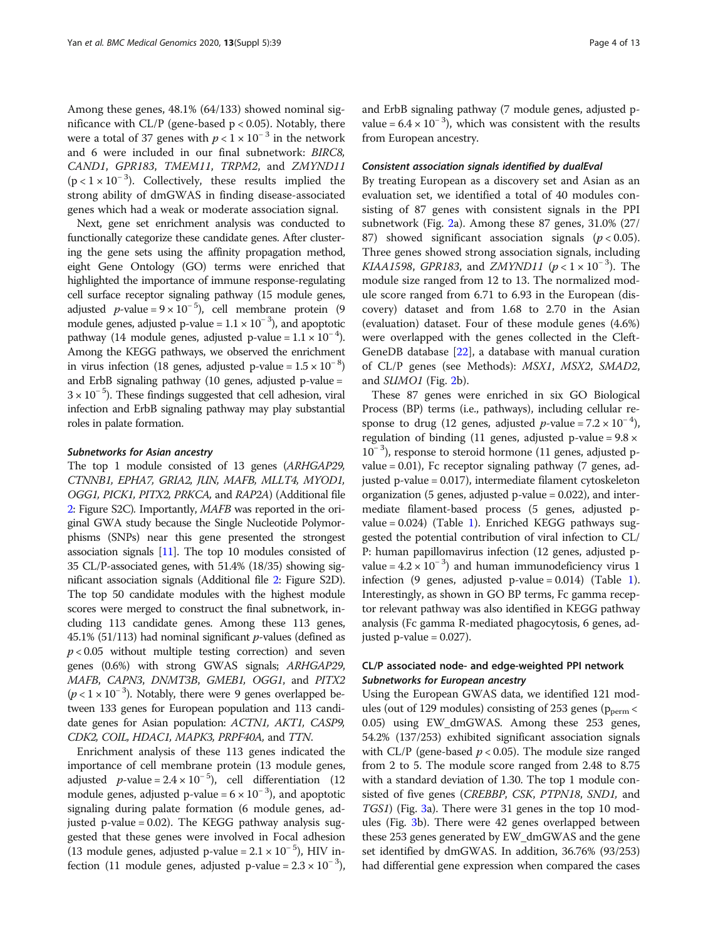Among these genes, 48.1% (64/133) showed nominal significance with  $CL/P$  (gene-based  $p < 0.05$ ). Notably, there were a total of 37 genes with  $p < 1 \times 10^{-3}$  in the network and 6 were included in our final subnetwork: BIRC8, CAND1, GPR183, TMEM11, TRPM2, and ZMYND11  $(p < 1 \times 10^{-3})$ . Collectively, these results implied the strong ability of dmGWAS in finding disease-associated genes which had a weak or moderate association signal.

Next, gene set enrichment analysis was conducted to functionally categorize these candidate genes. After clustering the gene sets using the affinity propagation method, eight Gene Ontology (GO) terms were enriched that highlighted the importance of immune response-regulating cell surface receptor signaling pathway (15 module genes, adjusted p-value =  $9 \times 10^{-5}$ ), cell membrane protein (9 module genes, adjusted p-value =  $1.1 \times 10^{-3}$ ), and apoptotic pathway (14 module genes, adjusted p-value =  $1.1 \times 10^{-4}$ ). Among the KEGG pathways, we observed the enrichment in virus infection (18 genes, adjusted p-value =  $1.5 \times 10^{-8}$ ) and ErbB signaling pathway (10 genes, adjusted p-value = 3 × 10<sup>−</sup> <sup>5</sup> ). These findings suggested that cell adhesion, viral infection and ErbB signaling pathway may play substantial roles in palate formation.

#### Subnetworks for Asian ancestry

The top 1 module consisted of 13 genes (ARHGAP29, CTNNB1, EPHA7, GRIA2, JUN, MAFB, MLLT4, MYOD1, OGG1, PICK1, PITX2, PRKCA, and RAP2A) (Additional file [2](#page-11-0): Figure S2C). Importantly, MAFB was reported in the original GWA study because the Single Nucleotide Polymorphisms (SNPs) near this gene presented the strongest association signals [\[11\]](#page-11-0). The top 10 modules consisted of 35 CL/P-associated genes, with 51.4% (18/35) showing significant association signals (Additional file [2:](#page-11-0) Figure S2D). The top 50 candidate modules with the highest module scores were merged to construct the final subnetwork, including 113 candidate genes. Among these 113 genes, 45.1% (51/113) had nominal significant  $p$ -values (defined as  $p < 0.05$  without multiple testing correction) and seven genes (0.6%) with strong GWAS signals; ARHGAP29, MAFB, CAPN3, DNMT3B, GMEB1, OGG1, and PITX2  $(p < 1 \times 10^{-3})$ . Notably, there were 9 genes overlapped between 133 genes for European population and 113 candidate genes for Asian population: ACTN1, AKT1, CASP9, CDK2, COIL, HDAC1, MAPK3, PRPF40A, and TTN.

Enrichment analysis of these 113 genes indicated the importance of cell membrane protein (13 module genes, adjusted p-value =  $2.4 \times 10^{-5}$ ), cell differentiation (12 module genes, adjusted p-value =  $6 \times 10^{-3}$ ), and apoptotic signaling during palate formation (6 module genes, adjusted p-value = 0.02). The KEGG pathway analysis suggested that these genes were involved in Focal adhesion (13 module genes, adjusted p-value =  $2.1 \times 10^{-5}$ ), HIV infection (11 module genes, adjusted p-value =  $2.3 \times 10^{-3}$ ),

and ErbB signaling pathway (7 module genes, adjusted pvalue =  $6.4 \times 10^{-3}$ ), which was consistent with the results from European ancestry.

#### Consistent association signals identified by dualEval

By treating European as a discovery set and Asian as an evaluation set, we identified a total of 40 modules consisting of 87 genes with consistent signals in the PPI subnetwork (Fig. [2a](#page-5-0)). Among these 87 genes, 31.0% (27/ 87) showed significant association signals  $(p < 0.05)$ . Three genes showed strong association signals, including KIAA1598, GPR183, and ZMYND11 ( $p < 1 \times 10^{-3}$ ). The module size ranged from 12 to 13. The normalized module score ranged from 6.71 to 6.93 in the European (discovery) dataset and from 1.68 to 2.70 in the Asian (evaluation) dataset. Four of these module genes (4.6%) were overlapped with the genes collected in the Cleft-GeneDB database [\[22](#page-12-0)], a database with manual curation of CL/P genes (see Methods): MSX1, MSX2, SMAD2, and SUMO1 (Fig. [2](#page-5-0)b).

These 87 genes were enriched in six GO Biological Process (BP) terms (i.e., pathways), including cellular response to drug (12 genes, adjusted p-value =  $7.2 \times 10^{-4}$ ), regulation of binding (11 genes, adjusted p-value =  $9.8 \times$ 10<sup>−</sup> <sup>3</sup> ), response to steroid hormone (11 genes, adjusted pvalue  $= 0.01$ ), Fc receptor signaling pathway (7 genes, adjusted p-value = 0.017), intermediate filament cytoskeleton organization  $(5 \text{ genes}, \text{adjusted p-value} = 0.022)$ , and intermediate filament-based process (5 genes, adjusted pvalue =  $0.024$ ) (Table [1](#page-5-0)). Enriched KEGG pathways suggested the potential contribution of viral infection to CL/ P: human papillomavirus infection (12 genes, adjusted pvalue =  $4.2 \times 10^{-3}$ ) and human immunodeficiency virus 1 infection (9 genes, adjusted p-value =  $0.014$  $0.014$  $0.014$ ) (Table 1). Interestingly, as shown in GO BP terms, Fc gamma receptor relevant pathway was also identified in KEGG pathway analysis (Fc gamma R-mediated phagocytosis, 6 genes, adjusted p-value  $= 0.027$ ).

#### CL/P associated node- and edge-weighted PPI network Subnetworks for European ancestry

Using the European GWAS data, we identified 121 modules (out of 129 modules) consisting of 253 genes ( $p_{perm}$ 0.05) using EW\_dmGWAS. Among these 253 genes, 54.2% (137/253) exhibited significant association signals with CL/P (gene-based  $p < 0.05$ ). The module size ranged from 2 to 5. The module score ranged from 2.48 to 8.75 with a standard deviation of 1.30. The top 1 module consisted of five genes (CREBBP, CSK, PTPN18, SND1, and TGS1) (Fig. [3](#page-6-0)a). There were 31 genes in the top 10 modules (Fig. [3](#page-6-0)b). There were 42 genes overlapped between these 253 genes generated by EW\_dmGWAS and the gene set identified by dmGWAS. In addition, 36.76% (93/253) had differential gene expression when compared the cases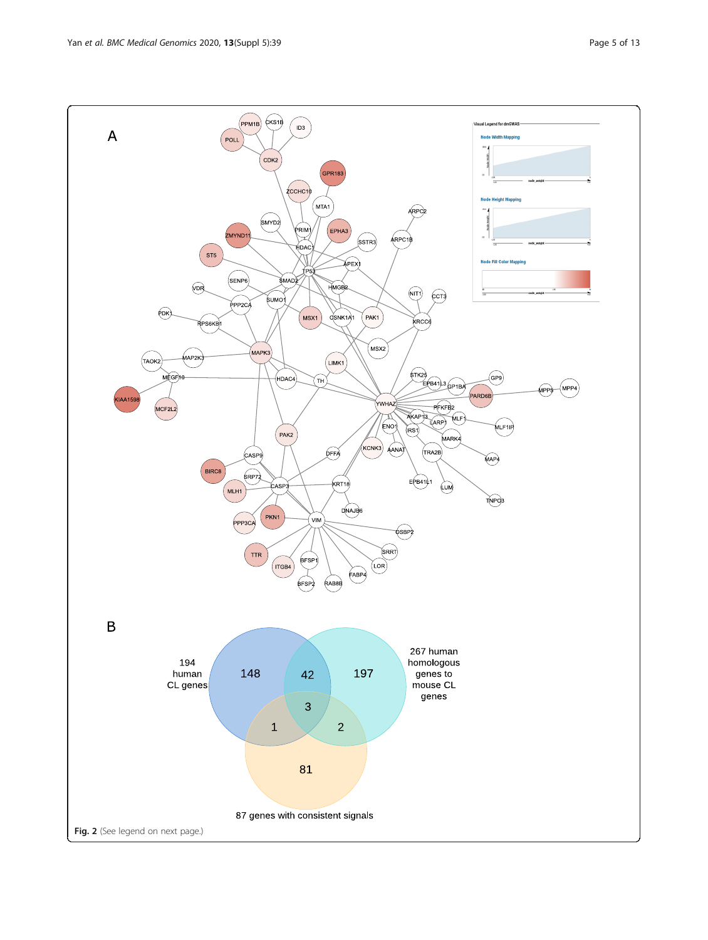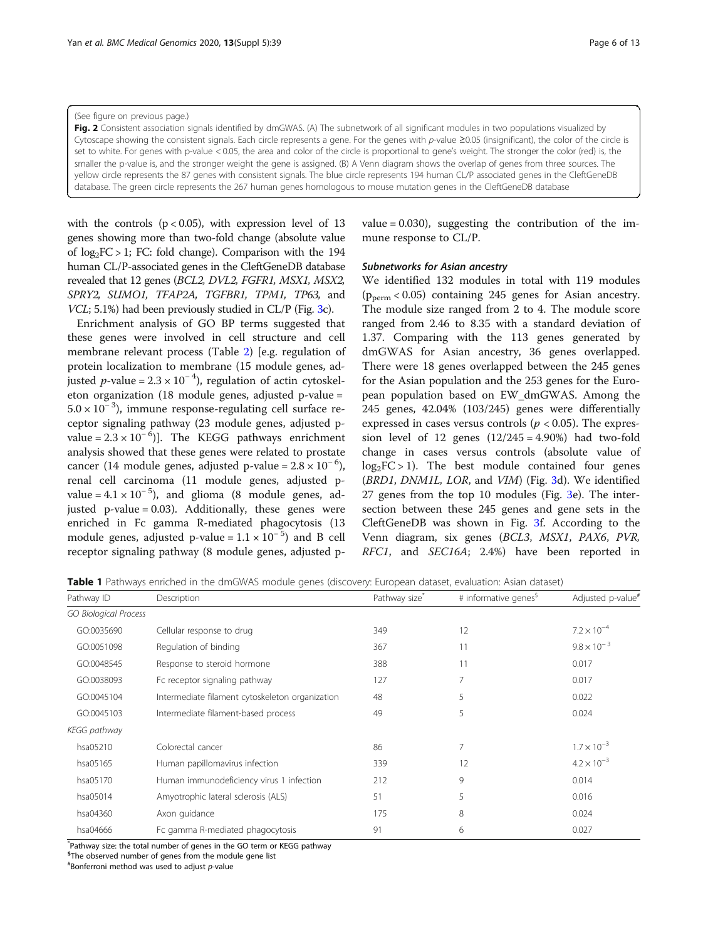#### <span id="page-5-0"></span>(See figure on previous page.)

Fig. 2 Consistent association signals identified by dmGWAS. (A) The subnetwork of all significant modules in two populations visualized by Cytoscape showing the consistent signals. Each circle represents a gene. For the genes with p-value ≥0.05 (insignificant), the color of the circle is set to white. For genes with p-value < 0.05, the area and color of the circle is proportional to gene's weight. The stronger the color (red) is, the smaller the p-value is, and the stronger weight the gene is assigned. (B) A Venn diagram shows the overlap of genes from three sources. The yellow circle represents the 87 genes with consistent signals. The blue circle represents 194 human CL/P associated genes in the CleftGeneDB database. The green circle represents the 267 human genes homologous to mouse mutation genes in the CleftGeneDB database

with the controls  $(p < 0.05)$ , with expression level of 13 genes showing more than two-fold change (absolute value of  $log_2FC > 1$ ; FC: fold change). Comparison with the 194 human CL/P-associated genes in the CleftGeneDB database revealed that 12 genes (BCL2, DVL2, FGFR1, MSX1, MSX2, SPRY2, SUMO1, TFAP2A, TGFBR1, TPM1, TP63, and VCL; 5.1%) had been previously studied in CL/P (Fig. [3c](#page-6-0)).

Enrichment analysis of GO BP terms suggested that these genes were involved in cell structure and cell membrane relevant process (Table [2\)](#page-7-0) [e.g. regulation of protein localization to membrane (15 module genes, adjusted p-value =  $2.3 \times 10^{-4}$ ), regulation of actin cytoskeleton organization (18 module genes, adjusted p-value = 5.0 × 10<sup>−</sup> <sup>3</sup> ), immune response-regulating cell surface receptor signaling pathway (23 module genes, adjusted pvalue =  $2.3 \times 10^{-6}$ ). The KEGG pathways enrichment analysis showed that these genes were related to prostate cancer (14 module genes, adjusted p-value =  $2.8 \times 10^{-6}$ ), renal cell carcinoma (11 module genes, adjusted pvalue =  $4.1 \times 10^{-5}$ ), and glioma (8 module genes, adjusted  $p$ -value = 0.03). Additionally, these genes were enriched in Fc gamma R-mediated phagocytosis (13 module genes, adjusted p-value =  $1.1 \times 10^{-5}$ ) and B cell receptor signaling pathway (8 module genes, adjusted pvalue  $= 0.030$ , suggesting the contribution of the immune response to CL/P.

#### Subnetworks for Asian ancestry

We identified 132 modules in total with 119 modules  $(p_{\text{perm}} < 0.05)$  containing 245 genes for Asian ancestry. The module size ranged from 2 to 4. The module score ranged from 2.46 to 8.35 with a standard deviation of 1.37. Comparing with the 113 genes generated by dmGWAS for Asian ancestry, 36 genes overlapped. There were 18 genes overlapped between the 245 genes for the Asian population and the 253 genes for the European population based on EW\_dmGWAS. Among the 245 genes, 42.04% (103/245) genes were differentially expressed in cases versus controls ( $p < 0.05$ ). The expression level of 12 genes  $(12/245 = 4.90%)$  had two-fold change in cases versus controls (absolute value of  $log_2FC > 1$ ). The best module contained four genes (BRD1, DNM1L, LOR, and VIM) (Fig. [3d](#page-6-0)). We identified 27 genes from the top 10 modules (Fig. [3e](#page-6-0)). The intersection between these 245 genes and gene sets in the CleftGeneDB was shown in Fig. [3](#page-6-0)f. According to the Venn diagram, six genes (BCL3, MSX1, PAX6, PVR, RFC1, and SEC16A; 2.4%) have been reported in

Table 1 Pathways enriched in the dmGWAS module genes (discovery: European dataset, evaluation: Asian dataset)

| Pathway ID                   | Description                                     | Pathway size* | # informative genes <sup>5</sup> | Adjusted p-value <sup>#</sup> |
|------------------------------|-------------------------------------------------|---------------|----------------------------------|-------------------------------|
| <b>GO Biological Process</b> |                                                 |               |                                  |                               |
| GO:0035690                   | Cellular response to drug                       | 349           | 12                               | $7.2 \times 10^{-4}$          |
| GO:0051098                   | Regulation of binding                           | 367           | 11                               | $9.8 \times 10^{-3}$          |
| GO:0048545                   | Response to steroid hormone                     | 388           | 11                               | 0.017                         |
| GO:0038093                   | Fc receptor signaling pathway                   | 127           | 7                                | 0.017                         |
| GO:0045104                   | Intermediate filament cytoskeleton organization | 48            | 5                                | 0.022                         |
| GO:0045103                   | Intermediate filament-based process             | 49            | 5                                | 0.024                         |
| KEGG pathway                 |                                                 |               |                                  |                               |
| hsa05210                     | Colorectal cancer                               | 86            | $\overline{7}$                   | $1.7 \times 10^{-3}$          |
| hsa05165                     | Human papillomavirus infection                  | 339           | 12                               | $4.2 \times 10^{-3}$          |
| hsa05170                     | Human immunodeficiency virus 1 infection        | 212           | 9                                | 0.014                         |
| hsa05014                     | Amyotrophic lateral sclerosis (ALS)             | 51            | 5                                | 0.016                         |
| hsa04360                     | Axon quidance                                   | 175           | 8                                | 0.024                         |
| hsa04666                     | Fc gamma R-mediated phagocytosis                | 91            | 6                                | 0.027                         |

\* Pathway size: the total number of genes in the GO term or KEGG pathway

\$ The observed number of genes from the module gene list

# Bonferroni method was used to adjust p-value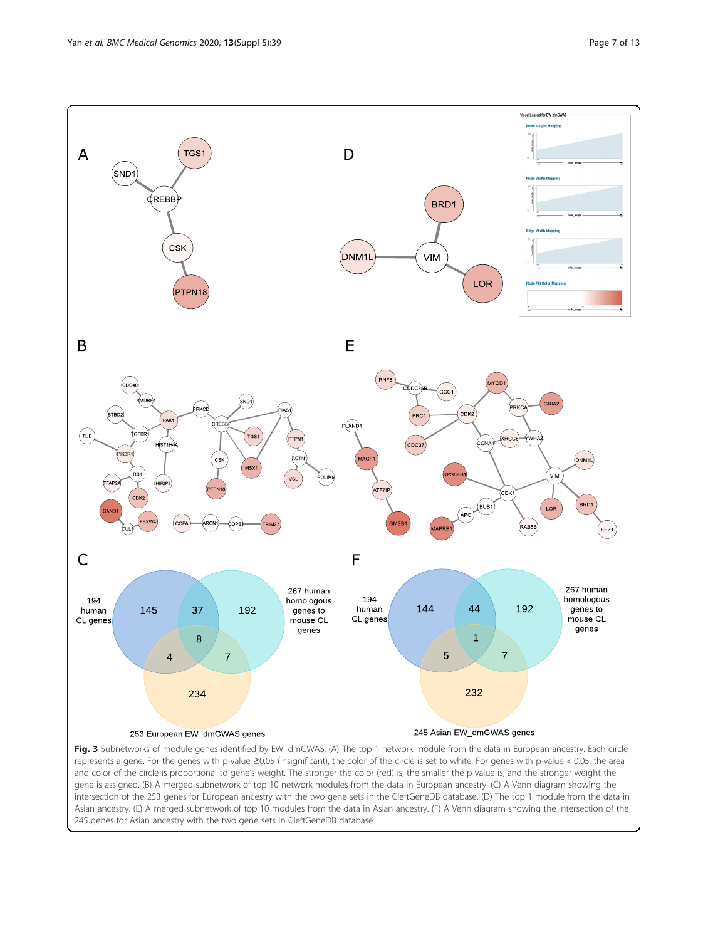<span id="page-6-0"></span>

Fig. 3 Subnetworks of module genes identified by EW\_dmGWAS. (A) The top 1 network module from the data in European ancestry. Each circle represents a gene. For the genes with p-value ≥0.05 (insignificant), the color of the circle is set to white. For genes with p-value < 0.05, the area and color of the circle is proportional to gene's weight. The stronger the color (red) is, the smaller the p-value is, and the stronger weight the gene is assigned. (B) A merged subnetwork of top 10 network modules from the data in European ancestry. (C) A Venn diagram showing the intersection of the 253 genes for European ancestry with the two gene sets in the CleftGeneDB database. (D) The top 1 module from the data in Asian ancestry. (E) A merged subnetwork of top 10 modules from the data in Asian ancestry. (F) A Venn diagram showing the intersection of the 245 genes for Asian ancestry with the two gene sets in CleftGeneDB database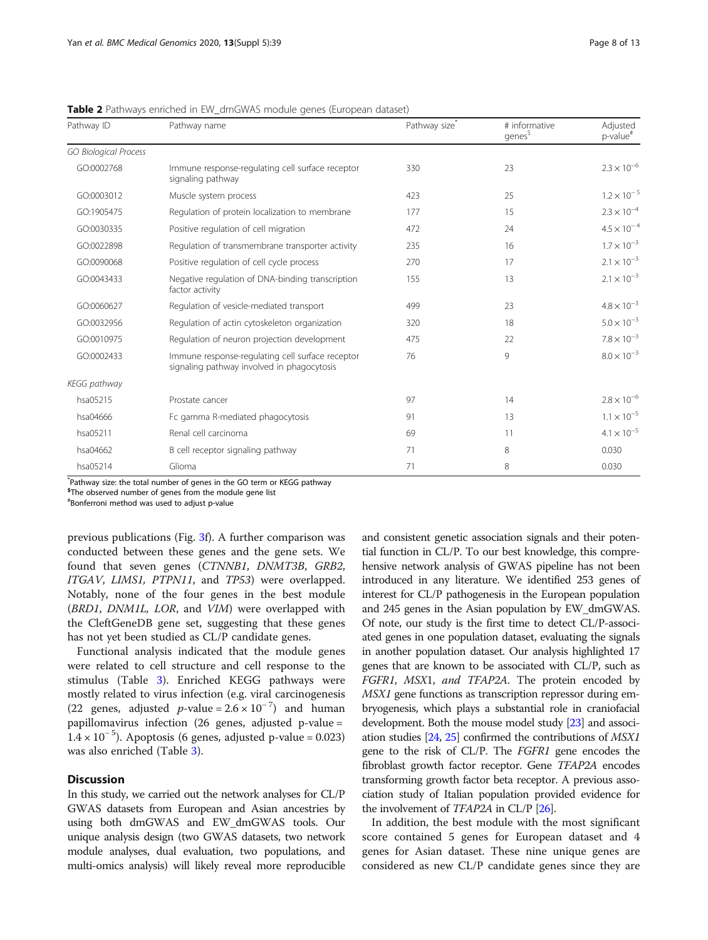| Pathway ID                   | Pathway name                                                                                   | Pathway size* | # informative<br>genes <sup>\$</sup> | Adjusted<br>$p$ -value $*$ |
|------------------------------|------------------------------------------------------------------------------------------------|---------------|--------------------------------------|----------------------------|
| <b>GO Biological Process</b> |                                                                                                |               |                                      |                            |
| GO:0002768                   | Immune response-regulating cell surface receptor<br>signaling pathway                          | 330           | 23                                   | $2.3 \times 10^{-6}$       |
| GO:0003012                   | Muscle system process                                                                          | 423           | 25                                   | $1.2 \times 10^{-5}$       |
| GO:1905475                   | Regulation of protein localization to membrane                                                 | 177           | 15                                   | $2.3 \times 10^{-4}$       |
| GO:0030335                   | Positive regulation of cell migration                                                          | 472           | 24                                   | $4.5 \times 10^{-4}$       |
| GO:0022898                   | Regulation of transmembrane transporter activity                                               | 235           | 16                                   | $1.7 \times 10^{-3}$       |
| GO:0090068                   | Positive regulation of cell cycle process                                                      | 270           | 17                                   | $2.1 \times 10^{-3}$       |
| GO:0043433                   | Negative regulation of DNA-binding transcription<br>factor activity                            | 155           | 13                                   | $2.1 \times 10^{-3}$       |
| GO:0060627                   | Regulation of vesicle-mediated transport                                                       | 499           | 23                                   | $4.8 \times 10^{-3}$       |
| GO:0032956                   | Regulation of actin cytoskeleton organization                                                  | 320           | 18                                   | $5.0 \times 10^{-3}$       |
| GO:0010975                   | Regulation of neuron projection development                                                    | 475           | 22                                   | $7.8 \times 10^{-3}$       |
| GO:0002433                   | Immune response-regulating cell surface receptor<br>signaling pathway involved in phagocytosis | 76            | 9                                    | $8.0 \times 10^{-3}$       |
| KEGG pathway                 |                                                                                                |               |                                      |                            |
| hsa05215                     | Prostate cancer                                                                                | 97            | 14                                   | $2.8 \times 10^{-6}$       |
| hsa04666                     | Fc gamma R-mediated phagocytosis                                                               | 91            | 13                                   | $1.1 \times 10^{-5}$       |
| hsa05211                     | Renal cell carcinoma                                                                           | 69            | 11                                   | $4.1 \times 10^{-5}$       |
| hsa04662                     | B cell receptor signaling pathway                                                              | 71            | 8                                    | 0.030                      |
| hsa05214                     | Glioma                                                                                         | 71            | 8                                    | 0.030                      |

<span id="page-7-0"></span>Table 2 Pathways enriched in EW\_dmGWAS module genes (European dataset)

\* Pathway size: the total number of genes in the GO term or KEGG pathway

\$ The observed number of genes from the module gene list

# Bonferroni method was used to adjust p-value

previous publications (Fig. [3](#page-6-0)f). A further comparison was conducted between these genes and the gene sets. We found that seven genes (CTNNB1, DNMT3B, GRB2, ITGAV, LIMS1, PTPN11, and TP53) were overlapped. Notably, none of the four genes in the best module (BRD1, DNM1L, LOR, and VIM) were overlapped with the CleftGeneDB gene set, suggesting that these genes has not yet been studied as CL/P candidate genes.

Functional analysis indicated that the module genes were related to cell structure and cell response to the stimulus (Table [3\)](#page-8-0). Enriched KEGG pathways were mostly related to virus infection (e.g. viral carcinogenesis (22 genes, adjusted p-value =  $2.6 \times 10^{-7}$ ) and human papillomavirus infection (26 genes, adjusted p-value =  $1.4 \times 10^{-5}$ ). Apoptosis (6 genes, adjusted p-value = 0.023) was also enriched (Table [3\)](#page-8-0).

#### Discussion

In this study, we carried out the network analyses for CL/P GWAS datasets from European and Asian ancestries by using both dmGWAS and EW\_dmGWAS tools. Our unique analysis design (two GWAS datasets, two network module analyses, dual evaluation, two populations, and multi-omics analysis) will likely reveal more reproducible

and consistent genetic association signals and their potential function in CL/P. To our best knowledge, this comprehensive network analysis of GWAS pipeline has not been introduced in any literature. We identified 253 genes of interest for CL/P pathogenesis in the European population and 245 genes in the Asian population by EW\_dmGWAS. Of note, our study is the first time to detect CL/P-associated genes in one population dataset, evaluating the signals in another population dataset. Our analysis highlighted 17 genes that are known to be associated with CL/P, such as FGFR1, MSX1, and TFAP2A. The protein encoded by MSX1 gene functions as transcription repressor during embryogenesis, which plays a substantial role in craniofacial development. Both the mouse model study [[23\]](#page-12-0) and association studies [\[24,](#page-12-0) [25\]](#page-12-0) confirmed the contributions of MSX1 gene to the risk of CL/P. The FGFR1 gene encodes the fibroblast growth factor receptor. Gene TFAP2A encodes transforming growth factor beta receptor. A previous association study of Italian population provided evidence for the involvement of *TFAP2A* in CL/P [[26](#page-12-0)].

In addition, the best module with the most significant score contained 5 genes for European dataset and 4 genes for Asian dataset. These nine unique genes are considered as new CL/P candidate genes since they are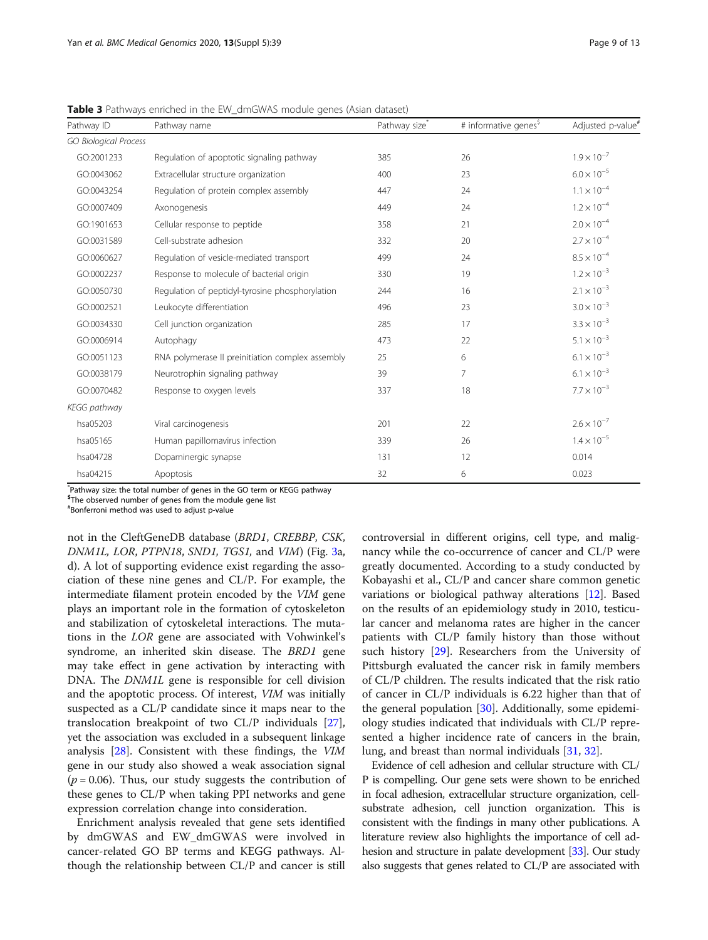| Pathway ID                   | Pathway name                                     | Pathway size* | # informative genes <sup>\$</sup> | Adjusted p-value <sup>#</sup> |
|------------------------------|--------------------------------------------------|---------------|-----------------------------------|-------------------------------|
| <b>GO Biological Process</b> |                                                  |               |                                   |                               |
| GO:2001233                   | Regulation of apoptotic signaling pathway        | 385           | 26                                | $1.9 \times 10^{-7}$          |
| GO:0043062                   | Extracellular structure organization             | 400           | 23                                | $6.0 \times 10^{-5}$          |
| GO:0043254                   | Regulation of protein complex assembly           | 447           | 24                                | $1.1 \times 10^{-4}$          |
| GO:0007409                   | Axonogenesis                                     | 449           | 24                                | $1.2 \times 10^{-4}$          |
| GO:1901653                   | Cellular response to peptide                     | 358           | 21                                | $2.0 \times 10^{-4}$          |
| GO:0031589                   | Cell-substrate adhesion                          | 332           | 20                                | $2.7 \times 10^{-4}$          |
| GO:0060627                   | Regulation of vesicle-mediated transport         | 499           | 24                                | $8.5 \times 10^{-4}$          |
| GO:0002237                   | Response to molecule of bacterial origin         | 330           | 19                                | $1.2 \times 10^{-3}$          |
| GO:0050730                   | Regulation of peptidyl-tyrosine phosphorylation  | 244           | 16                                | $2.1 \times 10^{-3}$          |
| GO:0002521                   | Leukocyte differentiation                        | 496           | 23                                | $3.0 \times 10^{-3}$          |
| GO:0034330                   | Cell junction organization                       | 285           | 17                                | $3.3 \times 10^{-3}$          |
| GO:0006914                   | Autophagy                                        | 473           | 22                                | $5.1 \times 10^{-3}$          |
| GO:0051123                   | RNA polymerase II preinitiation complex assembly | 25            | 6                                 | $6.1 \times 10^{-3}$          |
| GO:0038179                   | Neurotrophin signaling pathway                   | 39            | 7                                 | $6.1 \times 10^{-3}$          |
| GO:0070482                   | Response to oxygen levels                        | 337           | 18                                | $7.7 \times 10^{-3}$          |
| KEGG pathway                 |                                                  |               |                                   |                               |
| hsa05203                     | Viral carcinogenesis                             | 201           | 22                                | $2.6 \times 10^{-7}$          |
| hsa05165                     | Human papillomavirus infection                   | 339           | 26                                | $1.4 \times 10^{-5}$          |
| hsa04728                     | Dopaminergic synapse                             | 131           | 12                                | 0.014                         |
| hsa04215                     | Apoptosis                                        | 32            | 6                                 | 0.023                         |

<span id="page-8-0"></span>Table 3 Pathways enriched in the EW\_dmGWAS module genes (Asian dataset)

\* Pathway size: the total number of genes in the GO term or KEGG pathway

\$ The observed number of genes from the module gene list

# Bonferroni method was used to adjust p-value

not in the CleftGeneDB database (BRD1, CREBBP, CSK, DNM1L, LOR, PTPN18, SND1, TGS1, and VIM) (Fig. [3a](#page-6-0), d). A lot of supporting evidence exist regarding the association of these nine genes and CL/P. For example, the intermediate filament protein encoded by the VIM gene plays an important role in the formation of cytoskeleton and stabilization of cytoskeletal interactions. The mutations in the LOR gene are associated with Vohwinkel's syndrome, an inherited skin disease. The BRD1 gene may take effect in gene activation by interacting with DNA. The DNM1L gene is responsible for cell division and the apoptotic process. Of interest, VIM was initially suspected as a CL/P candidate since it maps near to the translocation breakpoint of two CL/P individuals [\[27](#page-12-0)], yet the association was excluded in a subsequent linkage analysis [\[28](#page-12-0)]. Consistent with these findings, the VIM gene in our study also showed a weak association signal  $(p = 0.06)$ . Thus, our study suggests the contribution of these genes to CL/P when taking PPI networks and gene expression correlation change into consideration.

Enrichment analysis revealed that gene sets identified by dmGWAS and EW\_dmGWAS were involved in cancer-related GO BP terms and KEGG pathways. Although the relationship between CL/P and cancer is still

controversial in different origins, cell type, and malignancy while the co-occurrence of cancer and CL/P were greatly documented. According to a study conducted by Kobayashi et al., CL/P and cancer share common genetic variations or biological pathway alterations [\[12\]](#page-12-0). Based on the results of an epidemiology study in 2010, testicular cancer and melanoma rates are higher in the cancer patients with CL/P family history than those without such history [[29](#page-12-0)]. Researchers from the University of Pittsburgh evaluated the cancer risk in family members of CL/P children. The results indicated that the risk ratio of cancer in CL/P individuals is 6.22 higher than that of the general population [[30\]](#page-12-0). Additionally, some epidemiology studies indicated that individuals with CL/P represented a higher incidence rate of cancers in the brain, lung, and breast than normal individuals [[31,](#page-12-0) [32\]](#page-12-0).

Evidence of cell adhesion and cellular structure with CL/ P is compelling. Our gene sets were shown to be enriched in focal adhesion, extracellular structure organization, cellsubstrate adhesion, cell junction organization. This is consistent with the findings in many other publications. A literature review also highlights the importance of cell ad-hesion and structure in palate development [\[33\]](#page-12-0). Our study also suggests that genes related to CL/P are associated with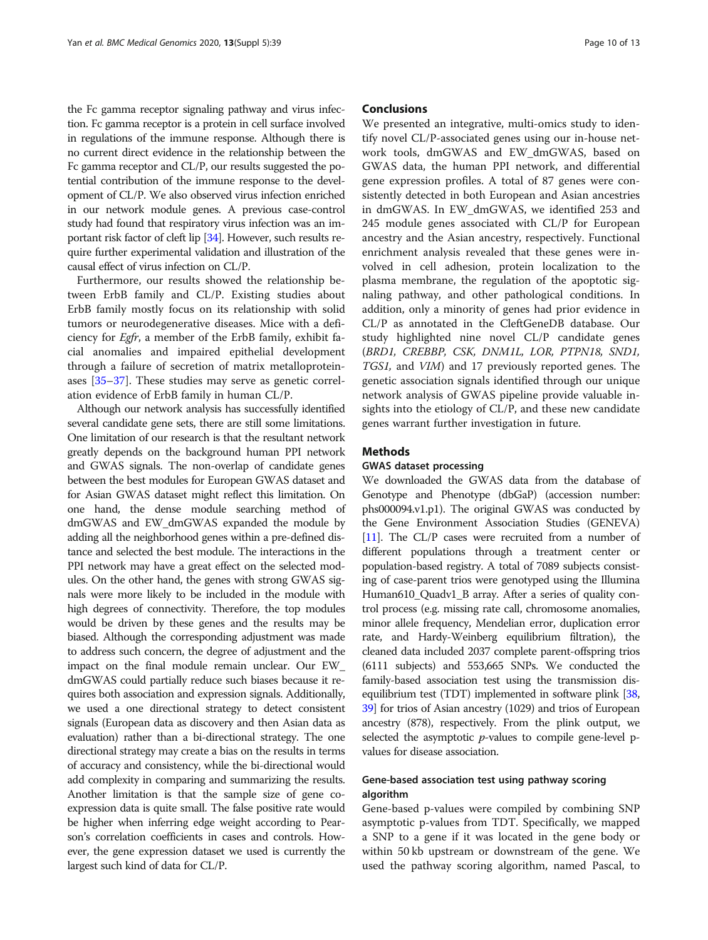the Fc gamma receptor signaling pathway and virus infection. Fc gamma receptor is a protein in cell surface involved in regulations of the immune response. Although there is no current direct evidence in the relationship between the Fc gamma receptor and CL/P, our results suggested the potential contribution of the immune response to the development of CL/P. We also observed virus infection enriched in our network module genes. A previous case-control study had found that respiratory virus infection was an important risk factor of cleft lip [\[34\]](#page-12-0). However, such results require further experimental validation and illustration of the causal effect of virus infection on CL/P.

Furthermore, our results showed the relationship between ErbB family and CL/P. Existing studies about ErbB family mostly focus on its relationship with solid tumors or neurodegenerative diseases. Mice with a deficiency for Egfr, a member of the ErbB family, exhibit facial anomalies and impaired epithelial development through a failure of secretion of matrix metalloproteinases [[35](#page-12-0)–[37](#page-12-0)]. These studies may serve as genetic correlation evidence of ErbB family in human CL/P.

Although our network analysis has successfully identified several candidate gene sets, there are still some limitations. One limitation of our research is that the resultant network greatly depends on the background human PPI network and GWAS signals. The non-overlap of candidate genes between the best modules for European GWAS dataset and for Asian GWAS dataset might reflect this limitation. On one hand, the dense module searching method of dmGWAS and EW\_dmGWAS expanded the module by adding all the neighborhood genes within a pre-defined distance and selected the best module. The interactions in the PPI network may have a great effect on the selected modules. On the other hand, the genes with strong GWAS signals were more likely to be included in the module with high degrees of connectivity. Therefore, the top modules would be driven by these genes and the results may be biased. Although the corresponding adjustment was made to address such concern, the degree of adjustment and the impact on the final module remain unclear. Our EW\_ dmGWAS could partially reduce such biases because it requires both association and expression signals. Additionally, we used a one directional strategy to detect consistent signals (European data as discovery and then Asian data as evaluation) rather than a bi-directional strategy. The one directional strategy may create a bias on the results in terms of accuracy and consistency, while the bi-directional would add complexity in comparing and summarizing the results. Another limitation is that the sample size of gene coexpression data is quite small. The false positive rate would be higher when inferring edge weight according to Pearson's correlation coefficients in cases and controls. However, the gene expression dataset we used is currently the largest such kind of data for CL/P.

#### **Conclusions**

We presented an integrative, multi-omics study to identify novel CL/P-associated genes using our in-house network tools, dmGWAS and EW\_dmGWAS, based on GWAS data, the human PPI network, and differential gene expression profiles. A total of 87 genes were consistently detected in both European and Asian ancestries in dmGWAS. In EW\_dmGWAS, we identified 253 and 245 module genes associated with CL/P for European ancestry and the Asian ancestry, respectively. Functional enrichment analysis revealed that these genes were involved in cell adhesion, protein localization to the plasma membrane, the regulation of the apoptotic signaling pathway, and other pathological conditions. In addition, only a minority of genes had prior evidence in CL/P as annotated in the CleftGeneDB database. Our study highlighted nine novel CL/P candidate genes (BRD1, CREBBP, CSK, DNM1L, LOR, PTPN18, SND1, TGS1, and VIM) and 17 previously reported genes. The genetic association signals identified through our unique network analysis of GWAS pipeline provide valuable insights into the etiology of CL/P, and these new candidate genes warrant further investigation in future.

#### Methods

#### GWAS dataset processing

We downloaded the GWAS data from the database of Genotype and Phenotype (dbGaP) (accession number: phs000094.v1.p1). The original GWAS was conducted by the Gene Environment Association Studies (GENEVA) [[11](#page-11-0)]. The CL/P cases were recruited from a number of different populations through a treatment center or population-based registry. A total of 7089 subjects consisting of case-parent trios were genotyped using the Illumina Human610\_Quadv1\_B array. After a series of quality control process (e.g. missing rate call, chromosome anomalies, minor allele frequency, Mendelian error, duplication error rate, and Hardy-Weinberg equilibrium filtration), the cleaned data included 2037 complete parent-offspring trios (6111 subjects) and 553,665 SNPs. We conducted the family-based association test using the transmission dis-equilibrium test (TDT) implemented in software plink [\[38](#page-12-0), [39](#page-12-0)] for trios of Asian ancestry (1029) and trios of European ancestry (878), respectively. From the plink output, we selected the asymptotic  $p$ -values to compile gene-level  $p$ values for disease association.

### Gene-based association test using pathway scoring algorithm

Gene-based p-values were compiled by combining SNP asymptotic p-values from TDT. Specifically, we mapped a SNP to a gene if it was located in the gene body or within 50 kb upstream or downstream of the gene. We used the pathway scoring algorithm, named Pascal, to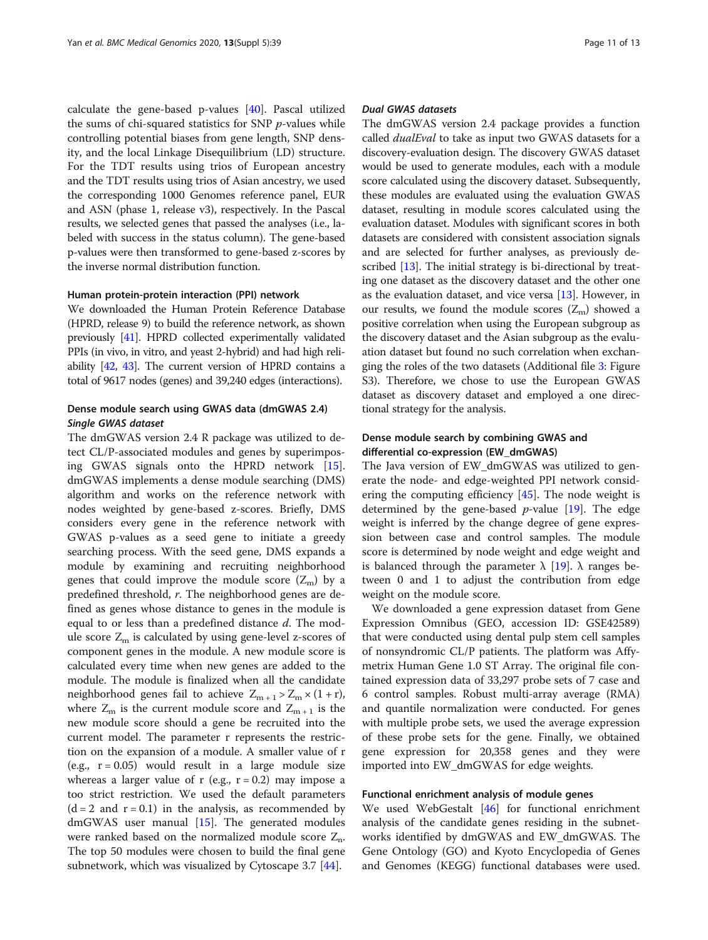calculate the gene-based p-values [\[40](#page-12-0)]. Pascal utilized the sums of chi-squared statistics for SNP  $p$ -values while controlling potential biases from gene length, SNP density, and the local Linkage Disequilibrium (LD) structure. For the TDT results using trios of European ancestry and the TDT results using trios of Asian ancestry, we used the corresponding 1000 Genomes reference panel, EUR and ASN (phase 1, release v3), respectively. In the Pascal results, we selected genes that passed the analyses (i.e., labeled with success in the status column). The gene-based p-values were then transformed to gene-based z-scores by the inverse normal distribution function.

#### Human protein-protein interaction (PPI) network

We downloaded the Human Protein Reference Database (HPRD, release 9) to build the reference network, as shown previously [\[41\]](#page-12-0). HPRD collected experimentally validated PPIs (in vivo, in vitro, and yeast 2-hybrid) and had high reliability [\[42,](#page-12-0) [43\]](#page-12-0). The current version of HPRD contains a total of 9617 nodes (genes) and 39,240 edges (interactions).

#### Dense module search using GWAS data (dmGWAS 2.4) Single GWAS dataset

The dmGWAS version 2.4 R package was utilized to detect CL/P-associated modules and genes by superimposing GWAS signals onto the HPRD network [\[15](#page-12-0)]. dmGWAS implements a dense module searching (DMS) algorithm and works on the reference network with nodes weighted by gene-based z-scores. Briefly, DMS considers every gene in the reference network with GWAS p-values as a seed gene to initiate a greedy searching process. With the seed gene, DMS expands a module by examining and recruiting neighborhood genes that could improve the module score  $(Z_m)$  by a predefined threshold, r. The neighborhood genes are defined as genes whose distance to genes in the module is equal to or less than a predefined distance d. The module score  $Z_m$  is calculated by using gene-level z-scores of component genes in the module. A new module score is calculated every time when new genes are added to the module. The module is finalized when all the candidate neighborhood genes fail to achieve  $Z_{m+1} > Z_m \times (1 + r)$ , where  $Z_m$  is the current module score and  $Z_{m+1}$  is the new module score should a gene be recruited into the current model. The parameter r represents the restriction on the expansion of a module. A smaller value of r (e.g.,  $r = 0.05$ ) would result in a large module size whereas a larger value of r (e.g.,  $r = 0.2$ ) may impose a too strict restriction. We used the default parameters  $(d = 2$  and  $r = 0.1)$  in the analysis, as recommended by dmGWAS user manual [\[15](#page-12-0)]. The generated modules were ranked based on the normalized module score  $Z_n$ . The top 50 modules were chosen to build the final gene subnetwork, which was visualized by Cytoscape 3.7 [\[44](#page-12-0)].

#### Dual GWAS datasets

The dmGWAS version 2.4 package provides a function called *dualEval* to take as input two GWAS datasets for a discovery-evaluation design. The discovery GWAS dataset would be used to generate modules, each with a module score calculated using the discovery dataset. Subsequently, these modules are evaluated using the evaluation GWAS dataset, resulting in module scores calculated using the evaluation dataset. Modules with significant scores in both datasets are considered with consistent association signals and are selected for further analyses, as previously de-scribed [[13](#page-12-0)]. The initial strategy is bi-directional by treating one dataset as the discovery dataset and the other one as the evaluation dataset, and vice versa [[13](#page-12-0)]. However, in our results, we found the module scores  $(Z_m)$  showed a positive correlation when using the European subgroup as the discovery dataset and the Asian subgroup as the evaluation dataset but found no such correlation when exchanging the roles of the two datasets (Additional file [3](#page-11-0): Figure S3). Therefore, we chose to use the European GWAS dataset as discovery dataset and employed a one directional strategy for the analysis.

#### Dense module search by combining GWAS and differential co-expression (EW\_dmGWAS)

The Java version of EW\_dmGWAS was utilized to generate the node- and edge-weighted PPI network considering the computing efficiency [[45\]](#page-12-0). The node weight is determined by the gene-based  $p$ -value [\[19\]](#page-12-0). The edge weight is inferred by the change degree of gene expression between case and control samples. The module score is determined by node weight and edge weight and is balanced through the parameter  $\lambda$  [[19\]](#page-12-0). λ ranges between 0 and 1 to adjust the contribution from edge weight on the module score.

We downloaded a gene expression dataset from Gene Expression Omnibus (GEO, accession ID: GSE42589) that were conducted using dental pulp stem cell samples of nonsyndromic CL/P patients. The platform was Affymetrix Human Gene 1.0 ST Array. The original file contained expression data of 33,297 probe sets of 7 case and 6 control samples. Robust multi-array average (RMA) and quantile normalization were conducted. For genes with multiple probe sets, we used the average expression of these probe sets for the gene. Finally, we obtained gene expression for 20,358 genes and they were imported into EW\_dmGWAS for edge weights.

#### Functional enrichment analysis of module genes

We used WebGestalt [\[46](#page-12-0)] for functional enrichment analysis of the candidate genes residing in the subnetworks identified by dmGWAS and EW\_dmGWAS. The Gene Ontology (GO) and Kyoto Encyclopedia of Genes and Genomes (KEGG) functional databases were used.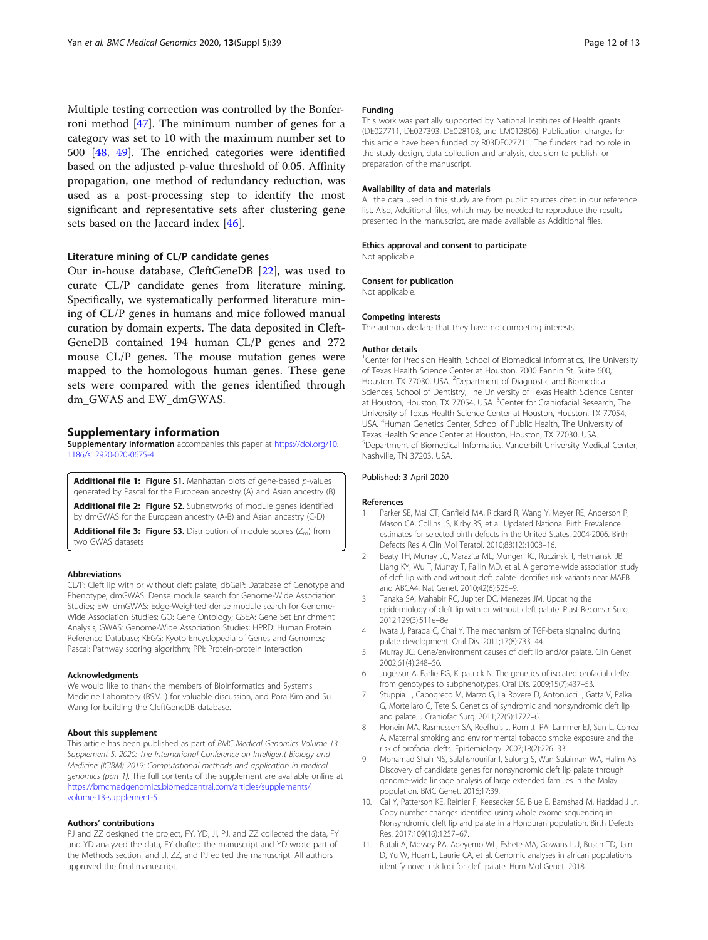<span id="page-11-0"></span>Multiple testing correction was controlled by the Bonferroni method [\[47\]](#page-12-0). The minimum number of genes for a category was set to 10 with the maximum number set to 500 [\[48,](#page-12-0) [49](#page-12-0)]. The enriched categories were identified based on the adjusted p-value threshold of 0.05. Affinity propagation, one method of redundancy reduction, was used as a post-processing step to identify the most significant and representative sets after clustering gene sets based on the Jaccard index [[46\]](#page-12-0).

#### Literature mining of CL/P candidate genes

Our in-house database, CleftGeneDB [\[22](#page-12-0)], was used to curate CL/P candidate genes from literature mining. Specifically, we systematically performed literature mining of CL/P genes in humans and mice followed manual curation by domain experts. The data deposited in Cleft-GeneDB contained 194 human CL/P genes and 272 mouse CL/P genes. The mouse mutation genes were mapped to the homologous human genes. These gene sets were compared with the genes identified through dm\_GWAS and EW\_dmGWAS.

#### Supplementary information

Supplementary information accompanies this paper at [https://doi.org/10.](https://doi.org/10.1186/s12920-020-0675-4) [1186/s12920-020-0675-4.](https://doi.org/10.1186/s12920-020-0675-4)

Additional file 1: Figure S1. Manhattan plots of gene-based p-values generated by Pascal for the European ancestry (A) and Asian ancestry (B) Additional file 2: Figure S2. Subnetworks of module genes identified

by dmGWAS for the European ancestry (A-B) and Asian ancestry (C-D)

**Additional file 3: Figure S3.** Distribution of module scores  $(Z_m)$  from two GWAS datasets

#### Abbreviations

CL/P: Cleft lip with or without cleft palate; dbGaP: Database of Genotype and Phenotype; dmGWAS: Dense module search for Genome-Wide Association Studies; EW\_dmGWAS: Edge-Weighted dense module search for Genome-Wide Association Studies; GO: Gene Ontology; GSEA: Gene Set Enrichment Analysis; GWAS: Genome-Wide Association Studies; HPRD: Human Protein Reference Database; KEGG: Kyoto Encyclopedia of Genes and Genomes; Pascal: Pathway scoring algorithm; PPI: Protein-protein interaction

#### Acknowledgments

We would like to thank the members of Bioinformatics and Systems Medicine Laboratory (BSML) for valuable discussion, and Pora Kim and Su Wang for building the CleftGeneDB database.

#### About this supplement

This article has been published as part of BMC Medical Genomics Volume 13 Supplement 5, 2020: The International Conference on Intelligent Biology and Medicine (ICIBM) 2019: Computational methods and application in medical genomics (part 1). The full contents of the supplement are available online at [https://bmcmedgenomics.biomedcentral.com/articles/supplements/](https://bmcmedgenomics.biomedcentral.com/articles/supplements/volume-13-supplement-5) [volume-13-supplement-5](https://bmcmedgenomics.biomedcentral.com/articles/supplements/volume-13-supplement-5)

#### Authors' contributions

PJ and ZZ designed the project, FY, YD, JI, PJ, and ZZ collected the data, FY and YD analyzed the data, FY drafted the manuscript and YD wrote part of the Methods section, and JI, ZZ, and PJ edited the manuscript. All authors approved the final manuscript.

#### Funding

This work was partially supported by National Institutes of Health grants (DE027711, DE027393, DE028103, and LM012806). Publication charges for this article have been funded by R03DE027711. The funders had no role in the study design, data collection and analysis, decision to publish, or preparation of the manuscript.

#### Availability of data and materials

All the data used in this study are from public sources cited in our reference list. Also, Additional files, which may be needed to reproduce the results presented in the manuscript, are made available as Additional files.

#### Ethics approval and consent to participate

Not applicable.

#### Consent for publication

Not applicable.

#### Competing interests

The authors declare that they have no competing interests.

#### Author details

<sup>1</sup> Center for Precision Health, School of Biomedical Informatics, The University of Texas Health Science Center at Houston, 7000 Fannin St. Suite 600, Houston, TX 77030, USA. <sup>2</sup> Department of Diagnostic and Biomedical Sciences, School of Dentistry, The University of Texas Health Science Center at Houston, Houston, TX 77054, USA. <sup>3</sup>Center for Craniofacial Research, The University of Texas Health Science Center at Houston, Houston, TX 77054, USA. <sup>4</sup>Human Genetics Center, School of Public Health, The University of Texas Health Science Center at Houston, Houston, TX 77030, USA. 5 Department of Biomedical Informatics, Vanderbilt University Medical Center, Nashville, TN 37203, USA.

#### Published: 3 April 2020

#### References

- Parker SE, Mai CT, Canfield MA, Rickard R, Wang Y, Meyer RE, Anderson P, Mason CA, Collins JS, Kirby RS, et al. Updated National Birth Prevalence estimates for selected birth defects in the United States, 2004-2006. Birth Defects Res A Clin Mol Teratol. 2010;88(12):1008–16.
- 2. Beaty TH, Murray JC, Marazita ML, Munger RG, Ruczinski I, Hetmanski JB, Liang KY, Wu T, Murray T, Fallin MD, et al. A genome-wide association study of cleft lip with and without cleft palate identifies risk variants near MAFB and ABCA4. Nat Genet. 2010;42(6):525–9.
- 3. Tanaka SA, Mahabir RC, Jupiter DC, Menezes JM. Updating the epidemiology of cleft lip with or without cleft palate. Plast Reconstr Surg. 2012;129(3):511e–8e.
- 4. Iwata J, Parada C, Chai Y. The mechanism of TGF-beta signaling during palate development. Oral Dis. 2011;17(8):733–44.
- 5. Murray JC. Gene/environment causes of cleft lip and/or palate. Clin Genet. 2002;61(4):248–56.
- 6. Jugessur A, Farlie PG, Kilpatrick N. The genetics of isolated orofacial clefts: from genotypes to subphenotypes. Oral Dis. 2009;15(7):437–53.
- 7. Stuppia L, Capogreco M, Marzo G, La Rovere D, Antonucci I, Gatta V, Palka G, Mortellaro C, Tete S. Genetics of syndromic and nonsyndromic cleft lip and palate. J Craniofac Surg. 2011;22(5):1722–6.
- 8. Honein MA, Rasmussen SA, Reefhuis J, Romitti PA, Lammer EJ, Sun L, Correa A. Maternal smoking and environmental tobacco smoke exposure and the risk of orofacial clefts. Epidemiology. 2007;18(2):226–33.
- 9. Mohamad Shah NS, Salahshourifar I, Sulong S, Wan Sulaiman WA, Halim AS. Discovery of candidate genes for nonsyndromic cleft lip palate through genome-wide linkage analysis of large extended families in the Malay population. BMC Genet. 2016;17:39.
- 10. Cai Y, Patterson KE, Reinier F, Keesecker SE, Blue E, Bamshad M, Haddad J Jr. Copy number changes identified using whole exome sequencing in Nonsyndromic cleft lip and palate in a Honduran population. Birth Defects Res. 2017;109(16):1257–67.
- 11. Butali A, Mossey PA, Adeyemo WL, Eshete MA, Gowans LJJ, Busch TD, Jain D, Yu W, Huan L, Laurie CA, et al. Genomic analyses in african populations identify novel risk loci for cleft palate. Hum Mol Genet. 2018.